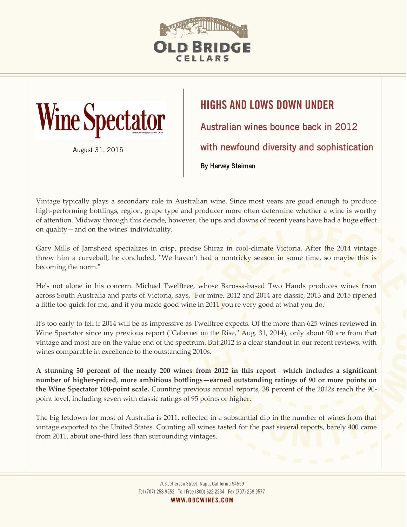



August 31, 2015

## **HIGHS AND LOWS DOWN UNDER** Australian wines bounce back in 2012 with newfound diversity and sophistication By Harvey Steiman

Vintage typically plays a secondary role in Australian wine. Since most years are good enough to produce high-performing bottlings, region, grape type and producer more often determine whether a wine is worthy of attention. Midway through this decade, however, the ups and downs of recent years have had a huge effect on quality—and on the wines' individuality.

Gary Mills of Jamsheed specializes in crisp, precise Shiraz in cool-climate Victoria. After the 2014 vintage threw him a curveball, he concluded, "We haven't had a nontricky season in some time, so maybe this is becoming the norm."

He's not alone in his concern. Michael Twelftree, whose Barossa-based Two Hands produces wines from across South Australia and parts of Victoria, says, "For mine, 2012 and 2014 are classic, 2013 and 2015 ripened a little too quick for me, and if you made good wine in 2011 you're very good at what you do."

It's too early to tell if 2014 will be as impressive as Twelftree expects. Of the more than 625 wines reviewed in Wine Spectator since my previous report ("[Cabernet on the Rise](http://www.winespectator.com/magazine/show/id/50198)," Aug. 31, 2014), only about 90 are from that vintage and most are on the value end of the spectrum. But 2012 is a clear standout in our recent reviews, with wines comparable in excellence to the outstanding 2010s.

**A stunning 50 percent of the nearly 200 wines from 2012 in this report—which includes a significant number of higher-priced, more ambitious bottlings—earned outstanding ratings of 90 or more points on the Wine Spectator 100-point scale.** Counting previous annual reports, 38 percent of the 2012s reach the 90 point level, including seven with classic ratings of 95 points or higher.

The big letdown for most of Australia is 2011, reflected in a substantial dip in the number of wines from that vintage exported to the United States. Counting all wines tasted for the past several reports, barely 400 came from 2011, about one-third less than surrounding vintages.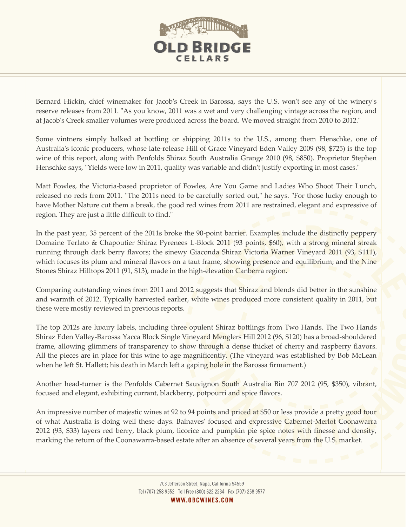

Bernard Hickin, chief winemaker for Jacob's Creek in Barossa, says the U.S. won't see any of the winery's reserve releases from 2011. "As you know, 2011 was a wet and very challenging vintage across the region, and at Jacob's Creek smaller volumes were produced across the board. We moved straight from 2010 to 2012."

Some vintners simply balked at bottling or shipping 2011s to the U.S., among them Henschke, one of Australia's iconic producers, whose late-release Hill of Grace Vineyard Eden Valley 2009 (98, \$725) is the top wine of this report, along with Penfolds Shiraz South Australia Grange 2010 (98, \$850). Proprietor Stephen Henschke says, "Yields were low in 2011, quality was variable and didn't justify exporting in most cases."

Matt Fowles, the Victoria-based proprietor of Fowles, Are You Game and Ladies Who Shoot Their Lunch, released no reds from 2011. "The 2011s need to be carefully sorted out," he says. "For those lucky enough to have Mother Nature cut them a break, the good red wines from 2011 are restrained, elegant and expressive of region. They are just a little difficult to find."

In the past year, 35 percent of the 2011s broke the 90-point barrier. Examples include the distinctly peppery Domaine Terlato & Chapoutier Shiraz Pyrenees L-Block 2011 (93 points, \$60), with a strong mineral streak running through dark berry flavors; the sinewy Giaconda Shiraz Victoria Warner Vineyard 2011 (93, \$111), which focuses its plum and mineral flavors on a taut frame, showing presence and equilibrium; and the Nine Stones Shiraz Hilltops 2011 (91, \$13), made in the high-elevation Canberra region.

Comparing outstanding wines from 2011 and 2012 suggests that Shiraz and blends did better in the sunshine and warmth of 2012. Typically harvested earlier, white wines produced more consistent quality in 2011, but these were mostly reviewed in previous reports.

The top 2012s are luxury labels, including three opulent Shiraz bottlings from Two Hands. The Two Hands Shiraz Eden Valley-Barossa Yacca Block Single Vineyard Menglers Hill 2012 (96, \$120) has a broad-shouldered frame, allowing glimmers of transparency to show through a dense thicket of cherry and raspberry flavors. All the pieces are in place for this wine to age magnificently. (The vineyard was established by Bob McLean when he left St. Hallett; his death in March left a gaping hole in the Barossa firmament.)

Another head-turner is the Penfolds Cabernet Sauvignon South Australia Bin 707 2012 (95, \$350), vibrant, focused and elegant, exhibiting currant, blackberry, potpourri and spice flavors.

An impressive number of majestic wines at 92 to 94 points and priced at \$50 or less provide a pretty good tour of what Australia is doing well these days. Balnaves' focused and expressive Cabernet-Merlot Coonawarra 2012 (93, \$33) layers red berry, black plum, licorice and pumpkin pie spice notes with finesse and density, marking the return of the Coonawarra-based estate after an absence of several years from the U.S. market.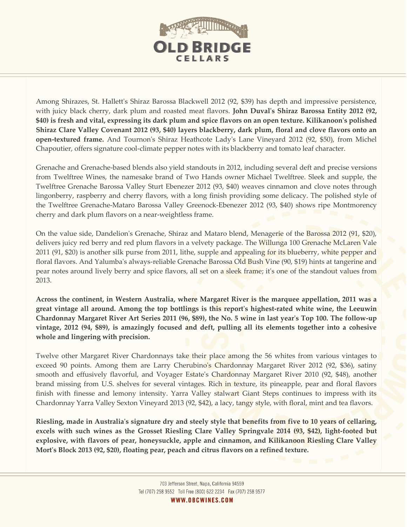

Among Shirazes, St. Hallett's Shiraz Barossa Blackwell 2012 (92, \$39) has depth and impressive persistence, with juicy black cherry, dark plum and roasted meat flavors. **John Duval's Shiraz Barossa Entity 2012 (92, \$40) is fresh and vital, expressing its dark plum and spice flavors on an open texture. Kilikanoon's polished Shiraz Clare Valley Covenant 2012 (93, \$40) layers blackberry, dark plum, floral and clove flavors onto an open-textured frame.** And Tournon's Shiraz Heathcote Lady's Lane Vineyard 2012 (92, \$50), from Michel Chapoutier, offers signature cool-climate pepper notes with its blackberry and tomato leaf character.

Grenache and Grenache-based blends also yield standouts in 2012, including several deft and precise versions from Twelftree Wines, the namesake brand of Two Hands owner Michael Twelftree. Sleek and supple, the Twelftree Grenache Barossa Valley Sturt Ebenezer 2012 (93, \$40) weaves cinnamon and clove notes through lingonberry, raspberry and cherry flavors, with a long finish providing some delicacy. The polished style of the Twelftree Grenache-Mataro Barossa Valley Greenock-Ebenezer 2012 (93, \$40) shows ripe Montmorency cherry and dark plum flavors on a near-weightless frame.

On the value side, Dandelion's Grenache, Shiraz and Mataro blend, Menagerie of the Barossa 2012 (91, \$20), delivers juicy red berry and red plum flavors in a velvety package. The Willunga 100 Grenache McLaren Vale 2011 (91, \$20) is another silk purse from 2011, lithe, supple and appealing for its blueberry, white pepper and floral flavors. And Yalumba's always-reliable Grenache Barossa Old Bush Vine (90, \$19) hints at tangerine and pear notes around lively berry and spice flavors, all set on a sleek frame; it's one of the standout values from 2013.

**Across the continent, in Western Australia, where Margaret River is the marquee appellation, 2011 was a great vintage all around. Among the top bottlings is this report's highest-rated white wine, the Leeuwin Chardonnay Margaret River Art Series 2011 (96, \$89), the No. 5 wine in last year's Top 100. The follow-up vintage, 2012 (94, \$89), is amazingly focused and deft, pulling all its elements together into a cohesive whole and lingering with precision.**

Twelve other Margaret River Chardonnays take their place among the 56 whites from various vintages to exceed 90 points. Among them are Larry Cherubino's Chardonnay Margaret River 2012 (92, \$36), satiny smooth and effusively flavorful, and Voyager Estate's Chardonnay Margaret River 2010 (92, \$48), another brand missing from U.S. shelves for several vintages. Rich in texture, its pineapple, pear and floral flavors finish with finesse and lemony intensity. Yarra Valley stalwart Giant Steps continues to impress with its Chardonnay Yarra Valley Sexton Vineyard 2013 (92, \$42), a lacy, tangy style, with floral, mint and tea flavors.

**Riesling, made in Australia's signature dry and steely style that benefits from five to 10 years of cellaring, excels with such wines as the Grosset Riesling Clare Valley Springvale 2014 (93, \$42), light-footed but explosive, with flavors of pear, honeysuckle, apple and cinnamon, and Kilikanoon Riesling Clare Valley Mort's Block 2013 (92, \$20), floating pear, peach and citrus flavors on a refined texture.**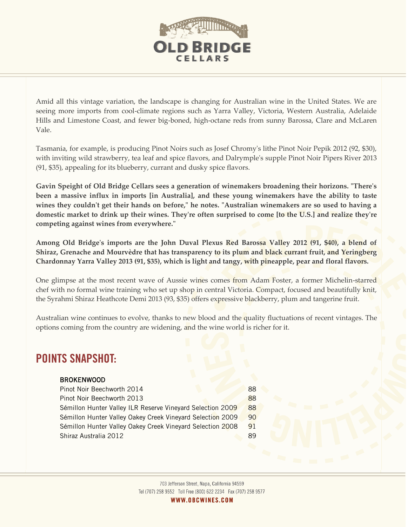

Amid all this vintage variation, the landscape is changing for Australian wine in the United States. We are seeing more imports from cool-climate regions such as Yarra Valley, Victoria, Western Australia, Adelaide Hills and Limestone Coast, and fewer big-boned, high-octane reds from sunny Barossa, Clare and McLaren Vale.

Tasmania, for example, is producing Pinot Noirs such as Josef Chromy's lithe Pinot Noir Pepik 2012 (92, \$30), with inviting wild strawberry, tea leaf and spice flavors, and Dalrymple's supple Pinot Noir Pipers River 2013 (91, \$35), appealing for its blueberry, currant and dusky spice flavors.

**Gavin Speight of Old Bridge Cellars sees a generation of winemakers broadening their horizons. "There's been a massive influx in imports [in Australia], and these young winemakers have the ability to taste wines they couldn't get their hands on before," he notes. "Australian winemakers are so used to having a domestic market to drink up their wines. They're often surprised to come [to the U.S.] and realize they're competing against wines from everywhere."**

**Among Old Bridge's imports are the John Duval Plexus Red Barossa Valley 2012 (91, \$40), a blend of Shiraz, Grenache and Mourvèdre that has transparency to its plum and black currant fruit, and Yeringberg Chardonnay Yarra Valley 2013 (91, \$35), which is light and tangy, with pineapple, pear and floral flavors.**

One glimpse at the most recent wave of Aussie wines comes from Adam Foster, a former Michelin-starred chef with no formal wine training who set up shop in central Victoria. Compact, focused and beautifully knit, the Syrahmi Shiraz Heathcote Demi 2013 (93, \$35) offers expressive blackberry, plum and tangerine fruit.

Australian wine continues to evolve, thanks to new blood and the quality fluctuations of recent vintages. The options coming from the country are widening, and the wine world is richer for it.

## **POINTS SNAPSHOT:**

## BROKENWOOD

| Pinot Noir Beechworth 2014                                 | 88 |
|------------------------------------------------------------|----|
| Pinot Noir Beechworth 2013                                 | 88 |
| Sémillon Hunter Valley ILR Reserve Vineyard Selection 2009 | 88 |
| Sémillon Hunter Valley Oakey Creek Vineyard Selection 2009 | 90 |
| Sémillon Hunter Valley Oakey Creek Vineyard Selection 2008 | 91 |
| Shiraz Australia 2012                                      | 89 |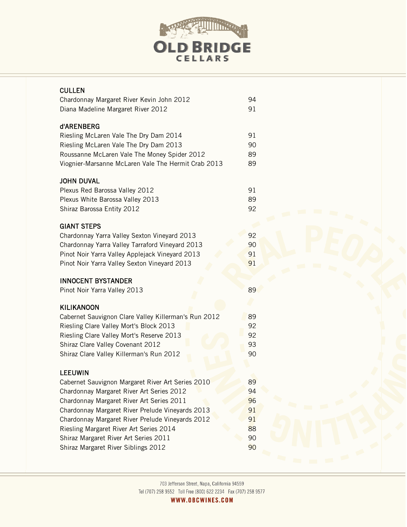

| <b>CULLEN</b><br>Chardonnay Margaret River Kevin John 2012<br>Diana Madeline Margaret River 2012                                                                                                                                                                                                                                                                                                 | 94<br>91                                     |
|--------------------------------------------------------------------------------------------------------------------------------------------------------------------------------------------------------------------------------------------------------------------------------------------------------------------------------------------------------------------------------------------------|----------------------------------------------|
| d'ARENBERG<br>Riesling McLaren Vale The Dry Dam 2014<br>Riesling McLaren Vale The Dry Dam 2013<br>Roussanne McLaren Vale The Money Spider 2012<br>Viognier-Marsanne McLaren Vale The Hermit Crab 2013                                                                                                                                                                                            | 91<br>90<br>89<br>89                         |
| <b>JOHN DUVAL</b><br>Plexus Red Barossa Valley 2012<br>Plexus White Barossa Valley 2013<br>Shiraz Barossa Entity 2012                                                                                                                                                                                                                                                                            | 91<br>89<br>92                               |
| <b>GIANT STEPS</b><br>Chardonnay Yarra Valley Sexton Vineyard 2013<br>Chardonnay Yarra Valley Tarraford Vineyard 2013<br>Pinot Noir Yarra Valley Applejack Vineyard 2013<br>Pinot Noir Yarra Valley Sexton Vineyard 2013                                                                                                                                                                         | 92<br>90<br>91<br>91                         |
| <b>INNOCENT BYSTANDER</b><br>Pinot Noir Yarra Valley 2013                                                                                                                                                                                                                                                                                                                                        | 89                                           |
| <b>KILIKANOON</b><br>Cabernet Sauvignon Clare Valley Killerman's Run 2012<br>Riesling Clare Valley Mort's Block 2013<br>Riesling Clare Valley Mort's Reserve 2013<br>Shiraz Clare Valley Covenant 2012<br>Shiraz Clare Valley Killerman's Run 2012                                                                                                                                               | 89<br>92<br>92<br>93<br>90                   |
| <b>LEEUWIN</b><br>Cabernet Sauvignon Margaret River Art Series 2010<br>Chardonnay Margaret River Art Series 2012<br>Chardonnay Margaret River Art Series 2011<br>Chardonnay Margaret River Prelude Vineyards 2013<br>Chardonnay Margaret River Prelude Vineyards 2012<br>Riesling Margaret River Art Series 2014<br>Shiraz Margaret River Art Series 2011<br>Shiraz Margaret River Siblings 2012 | 89<br>94<br>96<br>91<br>91<br>88<br>90<br>90 |